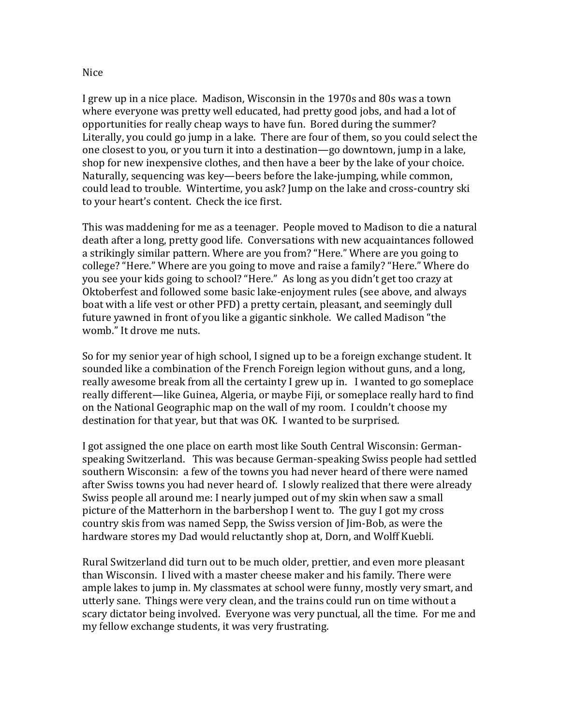## Nice

I grew up in a nice place. Madison, Wisconsin in the 1970s and 80s was a town where everyone was pretty well educated, had pretty good jobs, and had a lot of opportunities for really cheap ways to have fun. Bored during the summer? Literally, you could go jump in a lake. There are four of them, so you could select the one closest to you, or you turn it into a destination—go downtown, jump in a lake, shop for new inexpensive clothes, and then have a beer by the lake of your choice. Naturally, sequencing was key—beers before the lake-jumping, while common, could lead to trouble. Wintertime, you ask? Jump on the lake and cross-country ski to your heart's content. Check the ice first.

This was maddening for me as a teenager. People moved to Madison to die a natural death after a long, pretty good life. Conversations with new acquaintances followed a strikingly similar pattern. Where are you from? "Here." Where are you going to college? "Here." Where are you going to move and raise a family? "Here." Where do you see your kids going to school? "Here." As long as you didn't get too crazy at Oktoberfest and followed some basic lake-enjoyment rules (see above, and always boat with a life vest or other PFD) a pretty certain, pleasant, and seemingly dull future yawned in front of you like a gigantic sinkhole. We called Madison "the womb." It drove me nuts.

So for my senior year of high school, I signed up to be a foreign exchange student. It sounded like a combination of the French Foreign legion without guns, and a long, really awesome break from all the certainty I grew up in. I wanted to go someplace really different—like Guinea, Algeria, or maybe Fiji, or someplace really hard to find on the National Geographic map on the wall of my room. I couldn't choose my destination for that year, but that was OK. I wanted to be surprised.

I got assigned the one place on earth most like South Central Wisconsin: Germanspeaking Switzerland. This was because German-speaking Swiss people had settled southern Wisconsin: a few of the towns you had never heard of there were named after Swiss towns you had never heard of. I slowly realized that there were already Swiss people all around me: I nearly jumped out of my skin when saw a small picture of the Matterhorn in the barbershop I went to. The guy I got my cross country skis from was named Sepp, the Swiss version of Jim-Bob, as were the hardware stores my Dad would reluctantly shop at, Dorn, and Wolff Kuebli.

Rural Switzerland did turn out to be much older, prettier, and even more pleasant than Wisconsin. I lived with a master cheese maker and his family. There were ample lakes to jump in. My classmates at school were funny, mostly very smart, and utterly sane. Things were very clean, and the trains could run on time without a scary dictator being involved. Everyone was very punctual, all the time. For me and my fellow exchange students, it was very frustrating.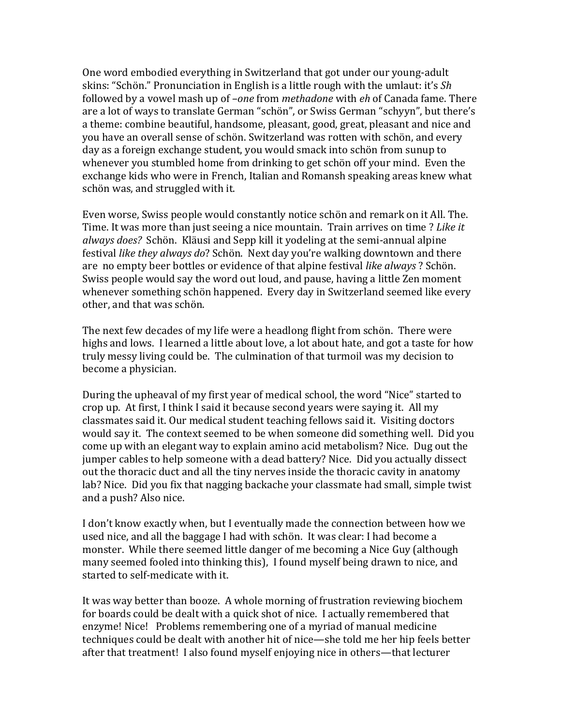One word embodied everything in Switzerland that got under our young-adult skins: "Schön." Pronunciation in English is a little rough with the umlaut: it's *Sh* followed by a vowel mash up of *–one* from *methadone* with *eh* of Canada fame. There are a lot of ways to translate German "schön", or Swiss German "schyyn", but there's a theme: combine beautiful, handsome, pleasant, good, great, pleasant and nice and you have an overall sense of schön. Switzerland was rotten with schön, and every day as a foreign exchange student, you would smack into schön from sunup to whenever you stumbled home from drinking to get schön off your mind. Even the exchange kids who were in French, Italian and Romansh speaking areas knew what schön was, and struggled with it.

Even worse, Swiss people would constantly notice schön and remark on it All. The. Time. It was more than just seeing a nice mountain. Train arrives on time ? *Like it always does?* Schön. Kläusi and Sepp kill it yodeling at the semi-annual alpine festival *like they always do*? Schön. Next day you're walking downtown and there are no empty beer bottles or evidence of that alpine festival *like always* ? Schön. Swiss people would say the word out loud, and pause, having a little Zen moment whenever something schön happened. Every day in Switzerland seemed like every other, and that was schön.

The next few decades of my life were a headlong flight from schön. There were highs and lows. I learned a little about love, a lot about hate, and got a taste for how truly messy living could be. The culmination of that turmoil was my decision to become a physician.

During the upheaval of my first year of medical school, the word "Nice" started to crop up. At first, I think I said it because second years were saying it. All my classmates said it. Our medical student teaching fellows said it. Visiting doctors would say it. The context seemed to be when someone did something well. Did you come up with an elegant way to explain amino acid metabolism? Nice. Dug out the jumper cables to help someone with a dead battery? Nice. Did you actually dissect out the thoracic duct and all the tiny nerves inside the thoracic cavity in anatomy lab? Nice. Did you fix that nagging backache your classmate had small, simple twist and a push? Also nice.

I don't know exactly when, but I eventually made the connection between how we used nice, and all the baggage I had with schön. It was clear: I had become a monster. While there seemed little danger of me becoming a Nice Guy (although many seemed fooled into thinking this), I found myself being drawn to nice, and started to self-medicate with it.

It was way better than booze. A whole morning of frustration reviewing biochem for boards could be dealt with a quick shot of nice. I actually remembered that enzyme! Nice! Problems remembering one of a myriad of manual medicine techniques could be dealt with another hit of nice—she told me her hip feels better after that treatment! I also found myself enjoying nice in others—that lecturer